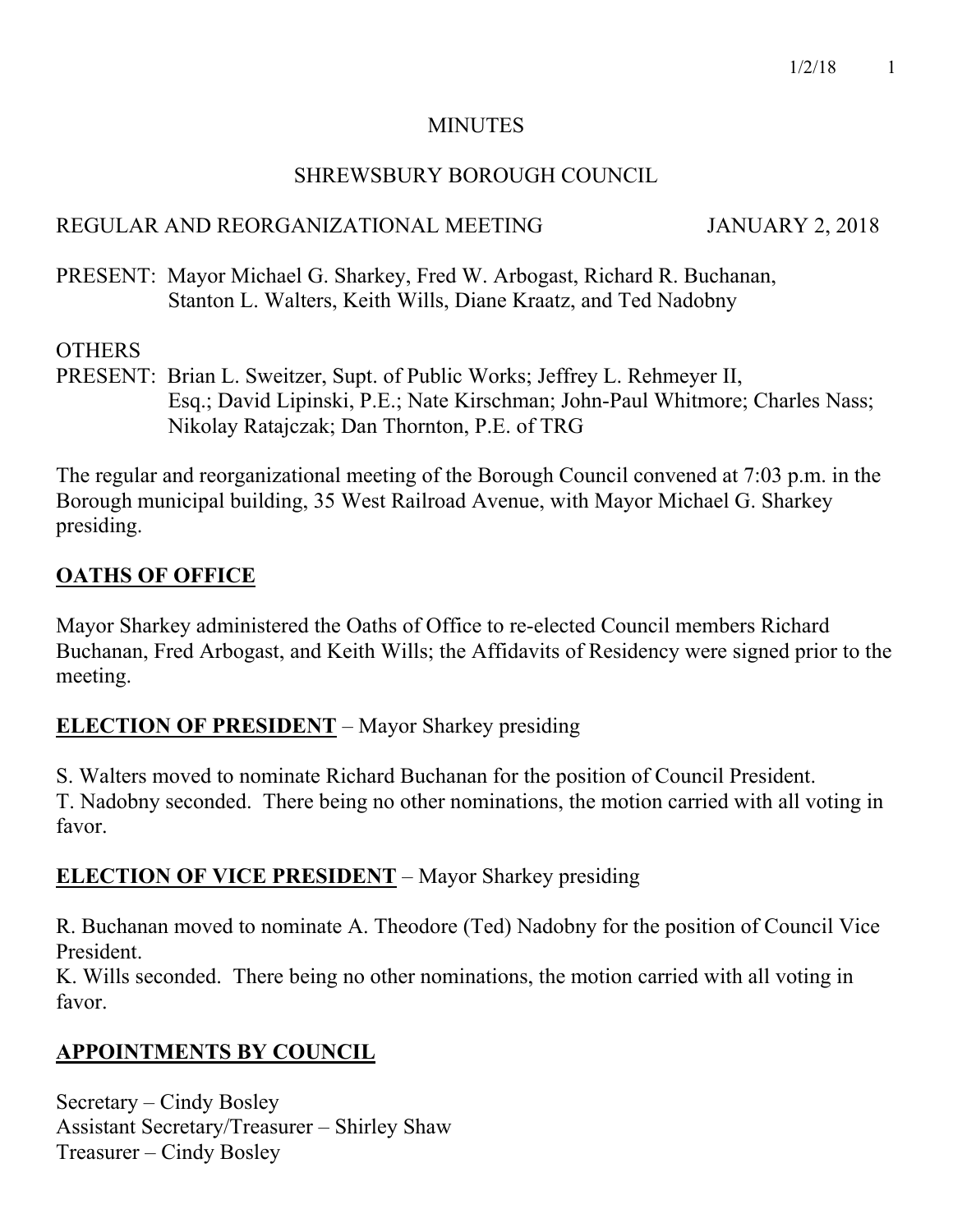### **MINUTES**

### SHREWSBURY BOROUGH COUNCIL

### REGULAR AND REORGANIZATIONAL MEETING JANUARY 2, 2018

PRESENT: Mayor Michael G. Sharkey, Fred W. Arbogast, Richard R. Buchanan, Stanton L. Walters, Keith Wills, Diane Kraatz, and Ted Nadobny

### **OTHERS**

PRESENT: Brian L. Sweitzer, Supt. of Public Works; Jeffrey L. Rehmeyer II, Esq.; David Lipinski, P.E.; Nate Kirschman; John-Paul Whitmore; Charles Nass; Nikolay Ratajczak; Dan Thornton, P.E. of TRG

The regular and reorganizational meeting of the Borough Council convened at 7:03 p.m. in the Borough municipal building, 35 West Railroad Avenue, with Mayor Michael G. Sharkey presiding.

## **OATHS OF OFFICE**

Mayor Sharkey administered the Oaths of Office to re-elected Council members Richard Buchanan, Fred Arbogast, and Keith Wills; the Affidavits of Residency were signed prior to the meeting.

## **ELECTION OF PRESIDENT** – Mayor Sharkey presiding

S. Walters moved to nominate Richard Buchanan for the position of Council President. T. Nadobny seconded. There being no other nominations, the motion carried with all voting in favor.

## **ELECTION OF VICE PRESIDENT** – Mayor Sharkey presiding

R. Buchanan moved to nominate A. Theodore (Ted) Nadobny for the position of Council Vice President.

K. Wills seconded. There being no other nominations, the motion carried with all voting in favor.

## **APPOINTMENTS BY COUNCIL**

Secretary – Cindy Bosley Assistant Secretary/Treasurer – Shirley Shaw Treasurer – Cindy Bosley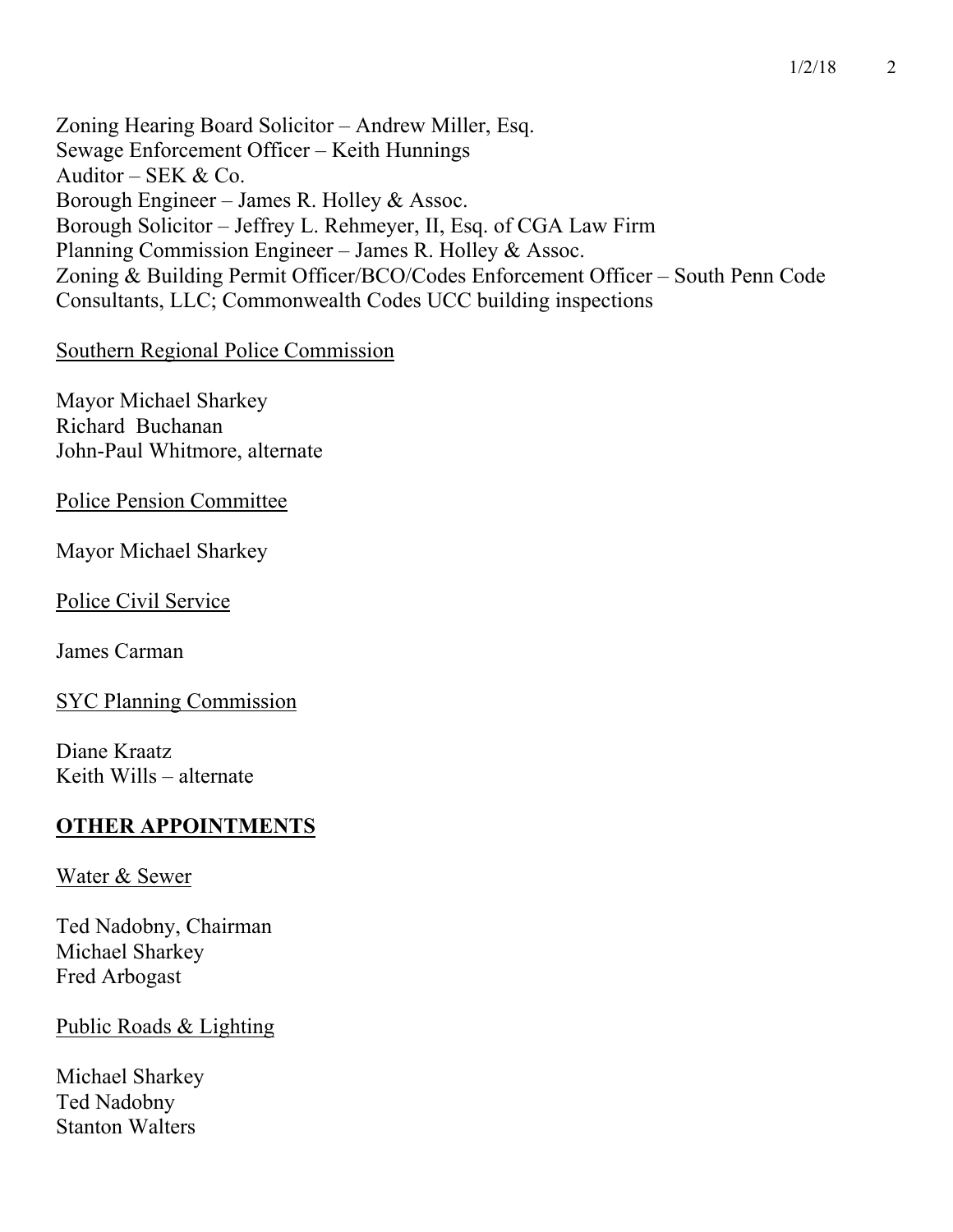Zoning Hearing Board Solicitor – Andrew Miller, Esq. Sewage Enforcement Officer – Keith Hunnings Auditor – SEK & Co. Borough Engineer – James R. Holley & Assoc. Borough Solicitor – Jeffrey L. Rehmeyer, II, Esq. of CGA Law Firm Planning Commission Engineer – James R. Holley & Assoc. Zoning & Building Permit Officer/BCO/Codes Enforcement Officer – South Penn Code Consultants, LLC; Commonwealth Codes UCC building inspections

#### Southern Regional Police Commission

Mayor Michael Sharkey Richard Buchanan John-Paul Whitmore, alternate

Police Pension Committee

Mayor Michael Sharkey

Police Civil Service

James Carman

SYC Planning Commission

Diane Kraatz Keith Wills – alternate

### **OTHER APPOINTMENTS**

#### Water & Sewer

Ted Nadobny, Chairman Michael Sharkey Fred Arbogast

### Public Roads & Lighting

Michael Sharkey Ted Nadobny Stanton Walters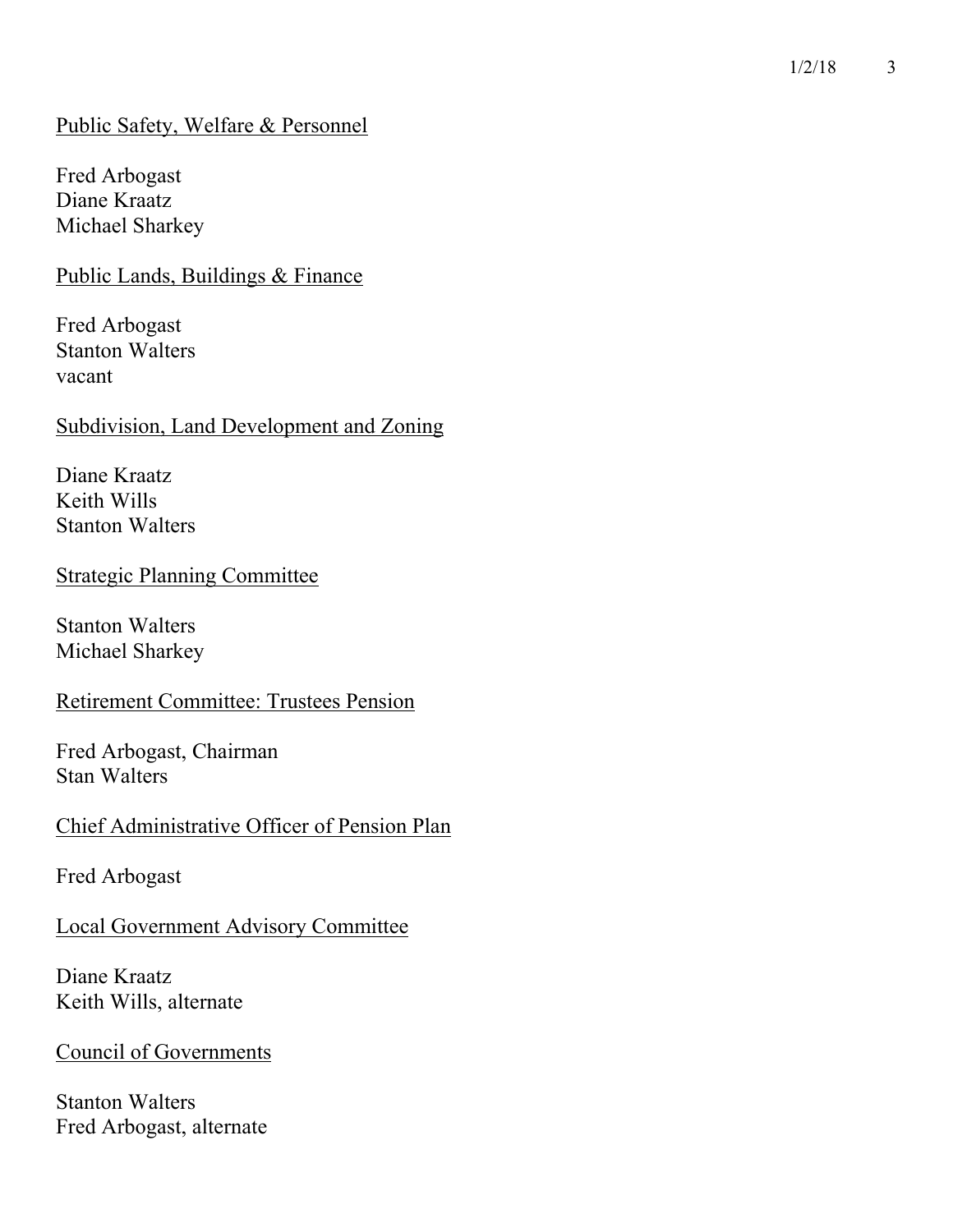### Public Safety, Welfare & Personnel

Fred Arbogast Diane Kraatz Michael Sharkey

Public Lands, Buildings & Finance

Fred Arbogast Stanton Walters vacant

#### Subdivision, Land Development and Zoning

Diane Kraatz Keith Wills Stanton Walters

### Strategic Planning Committee

Stanton Walters Michael Sharkey

#### Retirement Committee: Trustees Pension

Fred Arbogast, Chairman Stan Walters

#### Chief Administrative Officer of Pension Plan

Fred Arbogast

### Local Government Advisory Committee

Diane Kraatz Keith Wills, alternate

#### Council of Governments

Stanton Walters Fred Arbogast, alternate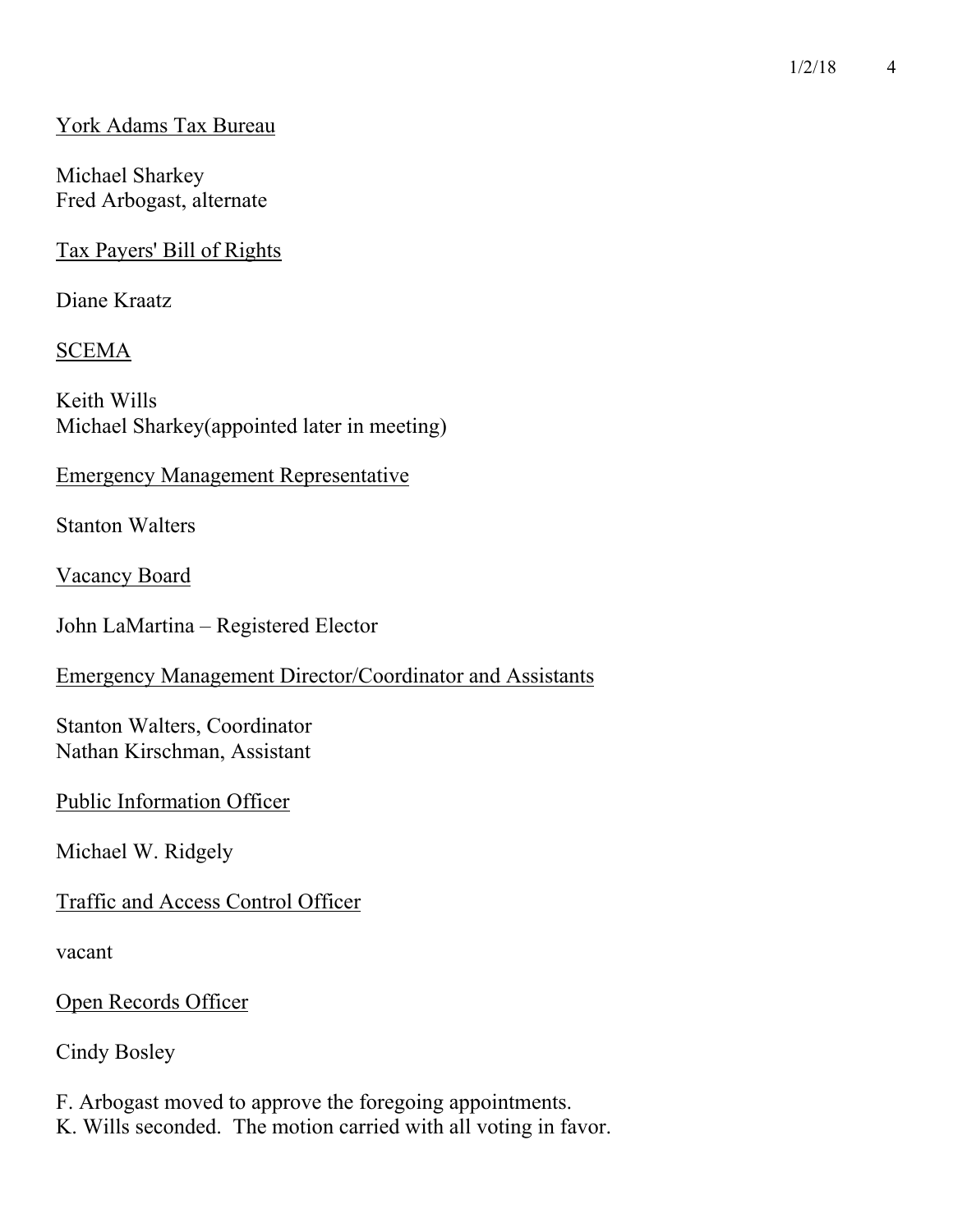### York Adams Tax Bureau

Michael Sharkey Fred Arbogast, alternate

Tax Payers' Bill of Rights

Diane Kraatz

## SCEMA

Keith Wills Michael Sharkey(appointed later in meeting)

### Emergency Management Representative

Stanton Walters

Vacancy Board

John LaMartina – Registered Elector

### Emergency Management Director/Coordinator and Assistants

Stanton Walters, Coordinator Nathan Kirschman, Assistant

### Public Information Officer

Michael W. Ridgely

## Traffic and Access Control Officer

vacant

Open Records Officer

Cindy Bosley

F. Arbogast moved to approve the foregoing appointments. K. Wills seconded. The motion carried with all voting in favor.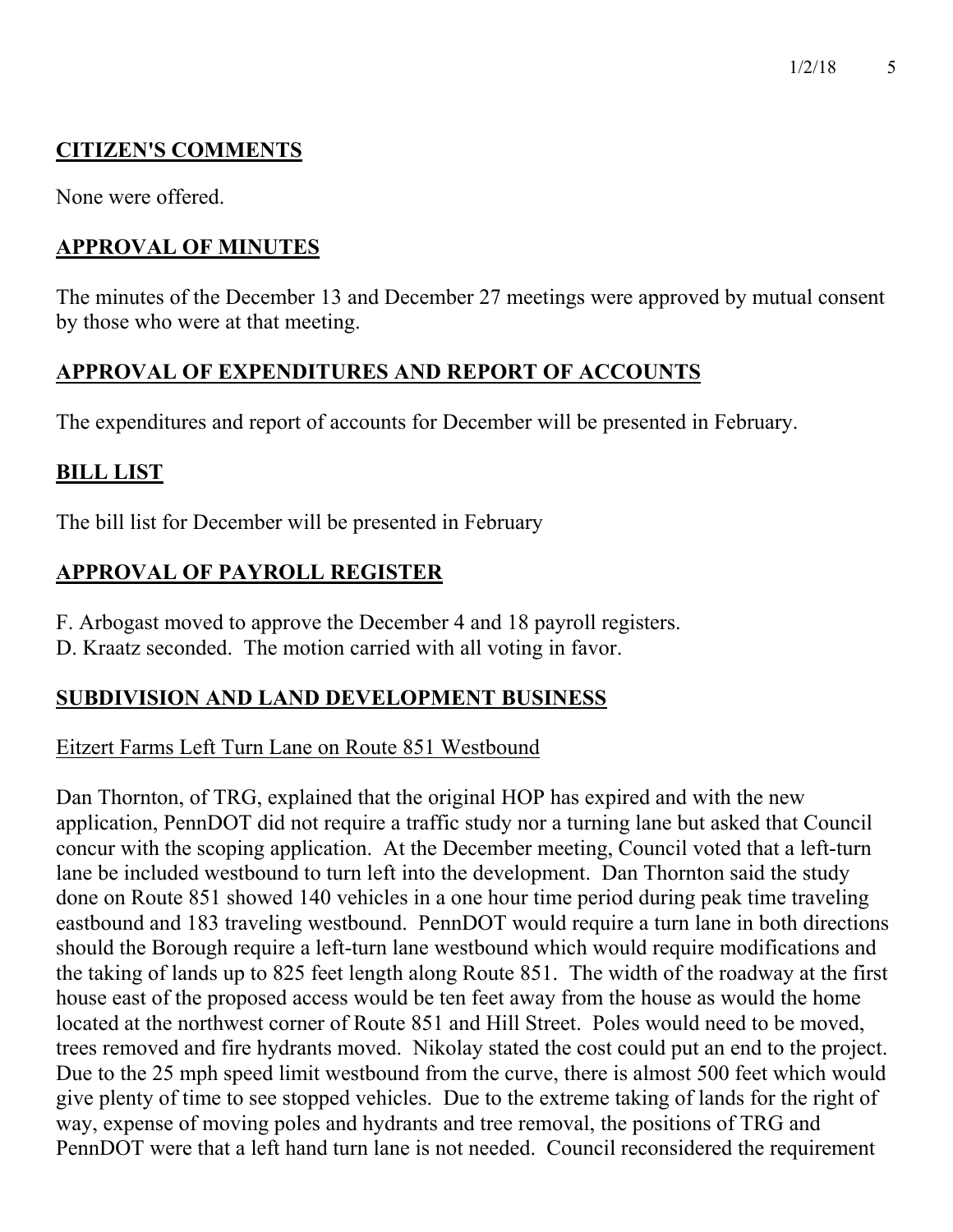# **CITIZEN'S COMMENTS**

None were offered.

# **APPROVAL OF MINUTES**

The minutes of the December 13 and December 27 meetings were approved by mutual consent by those who were at that meeting.

## **APPROVAL OF EXPENDITURES AND REPORT OF ACCOUNTS**

The expenditures and report of accounts for December will be presented in February.

## **BILL LIST**

The bill list for December will be presented in February

# **APPROVAL OF PAYROLL REGISTER**

- F. Arbogast moved to approve the December 4 and 18 payroll registers.
- D. Kraatz seconded. The motion carried with all voting in favor.

## **SUBDIVISION AND LAND DEVELOPMENT BUSINESS**

## Eitzert Farms Left Turn Lane on Route 851 Westbound

Dan Thornton, of TRG, explained that the original HOP has expired and with the new application, PennDOT did not require a traffic study nor a turning lane but asked that Council concur with the scoping application. At the December meeting, Council voted that a left-turn lane be included westbound to turn left into the development. Dan Thornton said the study done on Route 851 showed 140 vehicles in a one hour time period during peak time traveling eastbound and 183 traveling westbound. PennDOT would require a turn lane in both directions should the Borough require a left-turn lane westbound which would require modifications and the taking of lands up to 825 feet length along Route 851. The width of the roadway at the first house east of the proposed access would be ten feet away from the house as would the home located at the northwest corner of Route 851 and Hill Street. Poles would need to be moved, trees removed and fire hydrants moved. Nikolay stated the cost could put an end to the project. Due to the 25 mph speed limit westbound from the curve, there is almost 500 feet which would give plenty of time to see stopped vehicles. Due to the extreme taking of lands for the right of way, expense of moving poles and hydrants and tree removal, the positions of TRG and PennDOT were that a left hand turn lane is not needed. Council reconsidered the requirement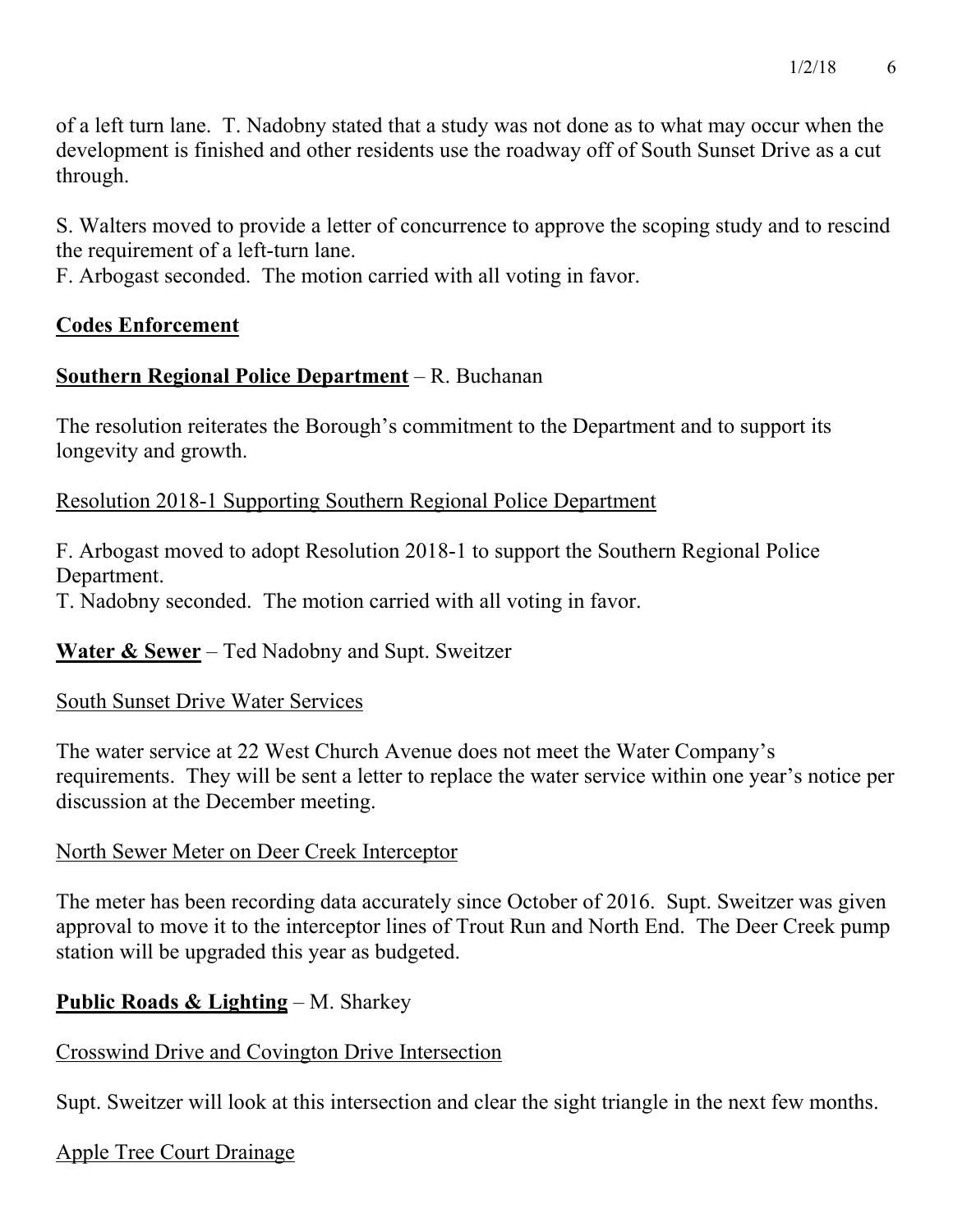of a left turn lane. T. Nadobny stated that a study was not done as to what may occur when the development is finished and other residents use the roadway off of South Sunset Drive as a cut through.

S. Walters moved to provide a letter of concurrence to approve the scoping study and to rescind the requirement of a left-turn lane.

F. Arbogast seconded. The motion carried with all voting in favor.

### **Codes Enforcement**

## **Southern Regional Police Department** – R. Buchanan

The resolution reiterates the Borough's commitment to the Department and to support its longevity and growth.

### Resolution 2018-1 Supporting Southern Regional Police Department

F. Arbogast moved to adopt Resolution 2018-1 to support the Southern Regional Police Department.

T. Nadobny seconded. The motion carried with all voting in favor.

**Water & Sewer** – Ted Nadobny and Supt. Sweitzer

### South Sunset Drive Water Services

The water service at 22 West Church Avenue does not meet the Water Company's requirements. They will be sent a letter to replace the water service within one year's notice per discussion at the December meeting.

### North Sewer Meter on Deer Creek Interceptor

The meter has been recording data accurately since October of 2016. Supt. Sweitzer was given approval to move it to the interceptor lines of Trout Run and North End. The Deer Creek pump station will be upgraded this year as budgeted.

## **Public Roads & Lighting** – M. Sharkey

### Crosswind Drive and Covington Drive Intersection

Supt. Sweitzer will look at this intersection and clear the sight triangle in the next few months.

### Apple Tree Court Drainage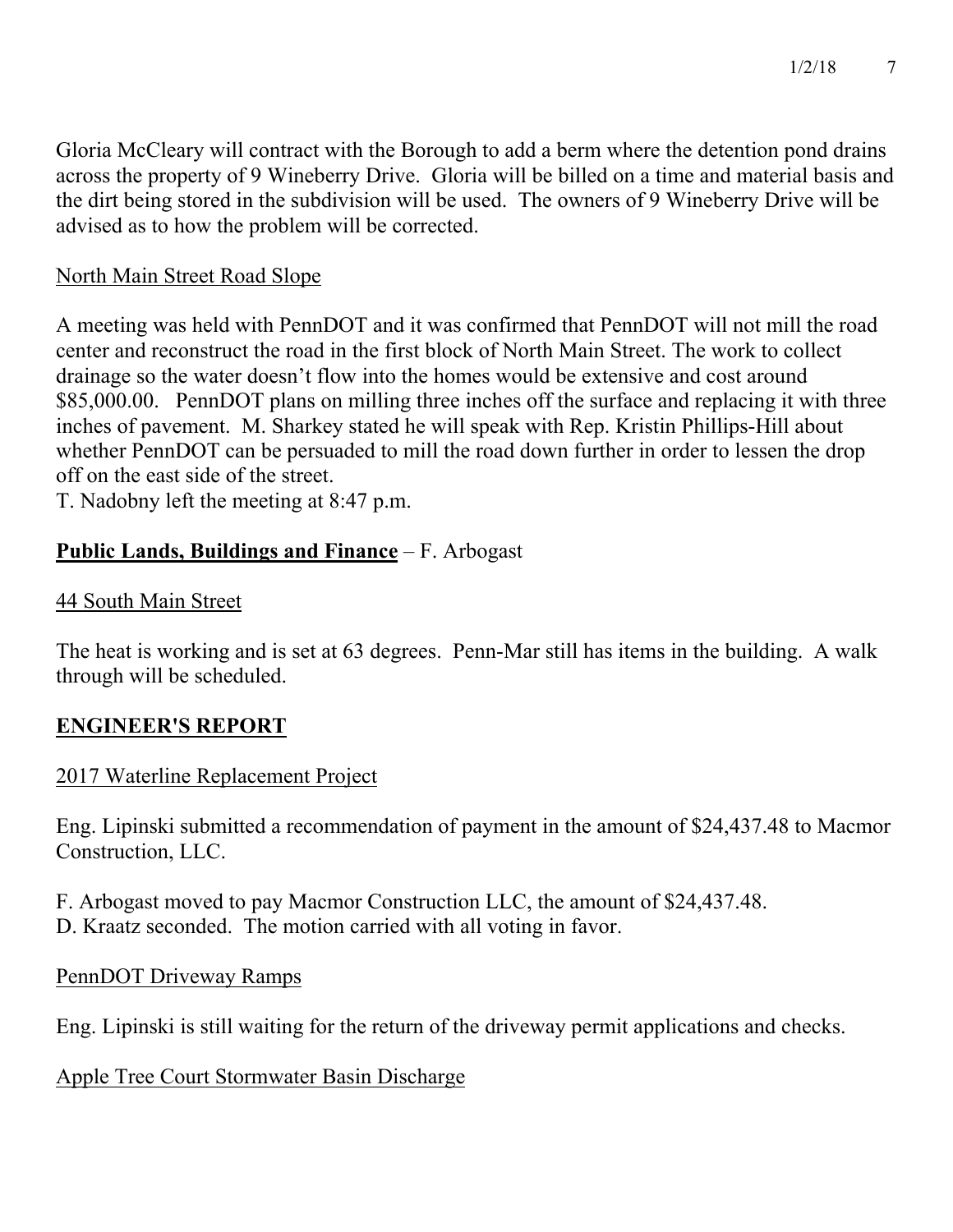Gloria McCleary will contract with the Borough to add a berm where the detention pond drains across the property of 9 Wineberry Drive. Gloria will be billed on a time and material basis and the dirt being stored in the subdivision will be used. The owners of 9 Wineberry Drive will be advised as to how the problem will be corrected.

### North Main Street Road Slope

A meeting was held with PennDOT and it was confirmed that PennDOT will not mill the road center and reconstruct the road in the first block of North Main Street. The work to collect drainage so the water doesn't flow into the homes would be extensive and cost around \$85,000.00. PennDOT plans on milling three inches off the surface and replacing it with three inches of pavement. M. Sharkey stated he will speak with Rep. Kristin Phillips-Hill about whether PennDOT can be persuaded to mill the road down further in order to lessen the drop off on the east side of the street.

T. Nadobny left the meeting at 8:47 p.m.

## **Public Lands, Buildings and Finance** – F. Arbogast

## 44 South Main Street

The heat is working and is set at 63 degrees. Penn-Mar still has items in the building. A walk through will be scheduled.

## **ENGINEER'S REPORT**

## 2017 Waterline Replacement Project

Eng. Lipinski submitted a recommendation of payment in the amount of \$24,437.48 to Macmor Construction, LLC.

F. Arbogast moved to pay Macmor Construction LLC, the amount of \$24,437.48. D. Kraatz seconded. The motion carried with all voting in favor.

### PennDOT Driveway Ramps

Eng. Lipinski is still waiting for the return of the driveway permit applications and checks.

## Apple Tree Court Stormwater Basin Discharge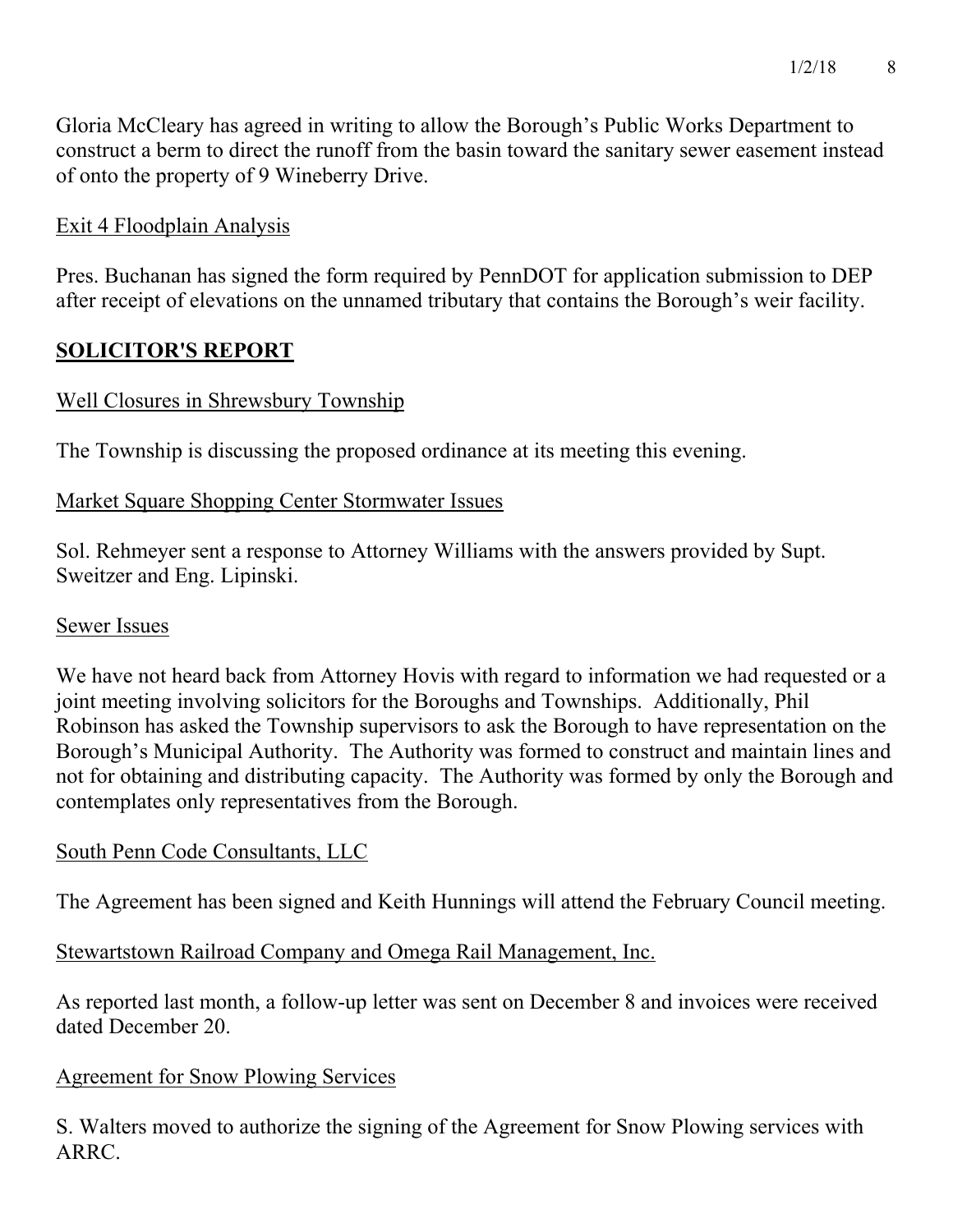Gloria McCleary has agreed in writing to allow the Borough's Public Works Department to construct a berm to direct the runoff from the basin toward the sanitary sewer easement instead of onto the property of 9 Wineberry Drive.

## Exit 4 Floodplain Analysis

Pres. Buchanan has signed the form required by PennDOT for application submission to DEP after receipt of elevations on the unnamed tributary that contains the Borough's weir facility.

## **SOLICITOR'S REPORT**

### Well Closures in Shrewsbury Township

The Township is discussing the proposed ordinance at its meeting this evening.

### Market Square Shopping Center Stormwater Issues

Sol. Rehmeyer sent a response to Attorney Williams with the answers provided by Supt. Sweitzer and Eng. Lipinski.

### Sewer Issues

We have not heard back from Attorney Hovis with regard to information we had requested or a joint meeting involving solicitors for the Boroughs and Townships. Additionally, Phil Robinson has asked the Township supervisors to ask the Borough to have representation on the Borough's Municipal Authority. The Authority was formed to construct and maintain lines and not for obtaining and distributing capacity. The Authority was formed by only the Borough and contemplates only representatives from the Borough.

### South Penn Code Consultants, LLC

The Agreement has been signed and Keith Hunnings will attend the February Council meeting.

Stewartstown Railroad Company and Omega Rail Management, Inc.

As reported last month, a follow-up letter was sent on December 8 and invoices were received dated December 20.

### Agreement for Snow Plowing Services

S. Walters moved to authorize the signing of the Agreement for Snow Plowing services with ARRC.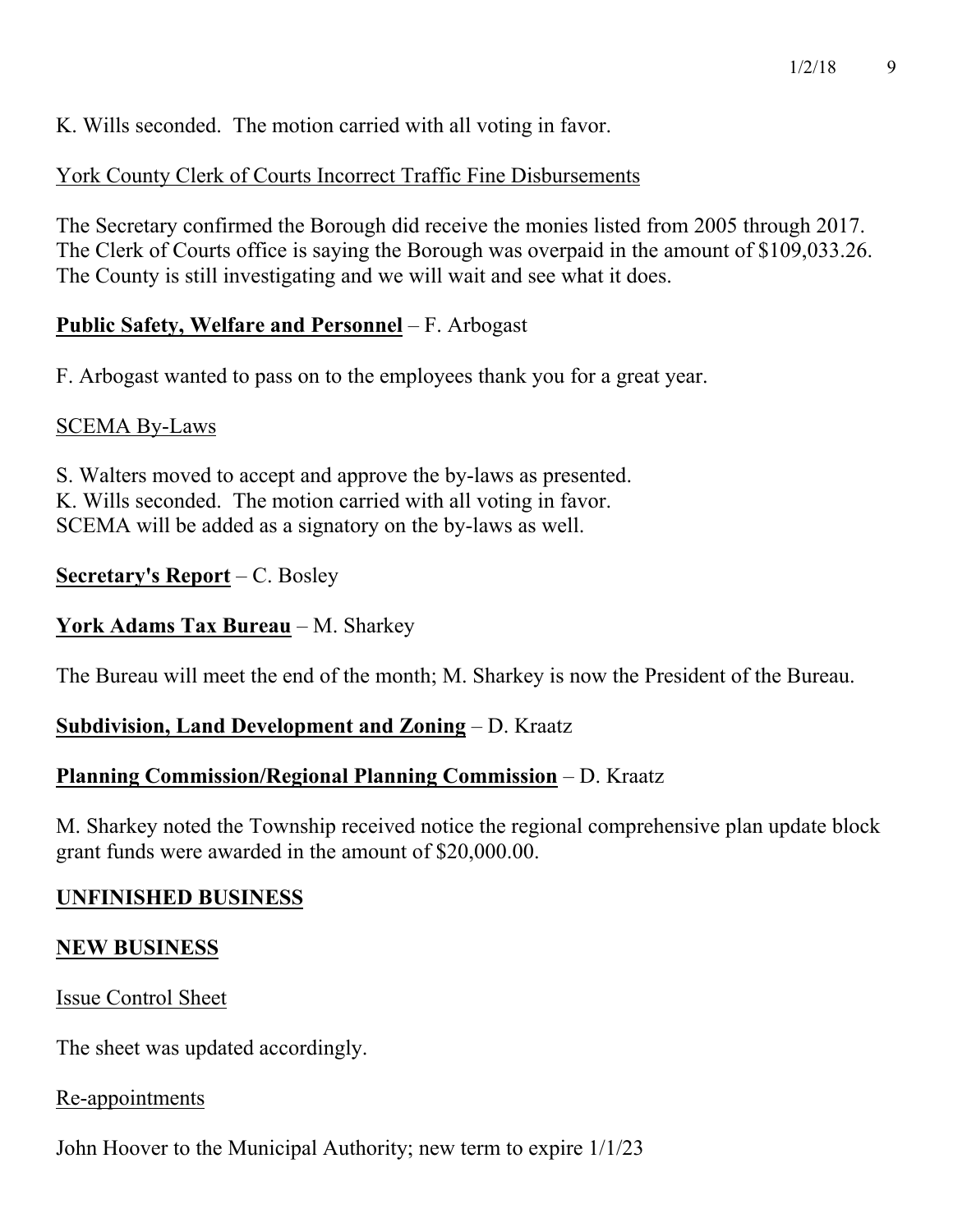K. Wills seconded. The motion carried with all voting in favor.

York County Clerk of Courts Incorrect Traffic Fine Disbursements

The Secretary confirmed the Borough did receive the monies listed from 2005 through 2017. The Clerk of Courts office is saying the Borough was overpaid in the amount of \$109,033.26. The County is still investigating and we will wait and see what it does.

### **Public Safety, Welfare and Personnel** – F. Arbogast

F. Arbogast wanted to pass on to the employees thank you for a great year.

### SCEMA By-Laws

S. Walters moved to accept and approve the by-laws as presented. K. Wills seconded. The motion carried with all voting in favor. SCEMA will be added as a signatory on the by-laws as well.

### **Secretary's Report** – C. Bosley

### **York Adams Tax Bureau** – M. Sharkey

The Bureau will meet the end of the month; M. Sharkey is now the President of the Bureau.

## **Subdivision, Land Development and Zoning** – D. Kraatz

## **Planning Commission/Regional Planning Commission** – D. Kraatz

M. Sharkey noted the Township received notice the regional comprehensive plan update block grant funds were awarded in the amount of \$20,000.00.

### **UNFINISHED BUSINESS**

### **NEW BUSINESS**

Issue Control Sheet

The sheet was updated accordingly.

### Re-appointments

John Hoover to the Municipal Authority; new term to expire 1/1/23